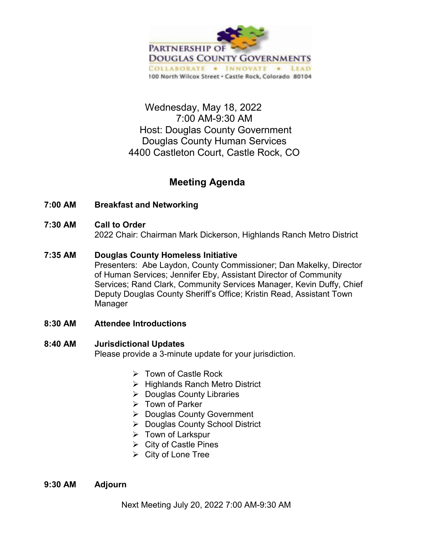

## Wednesday, May 18, 2022 7:00 AM-9:30 AM Host: Douglas County Government Douglas County Human Services 4400 Castleton Court, Castle Rock, CO

## **Meeting Agenda**

- **7:00 AM Breakfast and Networking**
- **7:30 AM Call to Order**

2022 Chair: Chairman Mark Dickerson, Highlands Ranch Metro District

**7:35 AM Douglas County Homeless Initiative**

Presenters: Abe Laydon, County Commissioner; Dan Makelky, Director of Human Services; Jennifer Eby, Assistant Director of Community Services; Rand Clark, Community Services Manager, Kevin Duffy, Chief Deputy Douglas County Sheriff's Office; Kristin Read, Assistant Town Manager

- **8:30 AM Attendee Introductions**
- **8:40 AM Jurisdictional Updates**

Please provide a 3-minute update for your jurisdiction.

- $\triangleright$  Town of Castle Rock
- $\triangleright$  Highlands Ranch Metro District
- $\triangleright$  Douglas County Libraries
- $\triangleright$  Town of Parker
- ▶ Douglas County Government
- ▶ Douglas County School District
- $\triangleright$  Town of Larkspur
- $\triangleright$  City of Castle Pines
- $\triangleright$  City of Lone Tree

## **9:30 AM Adjourn**

Next Meeting July 20, 2022 7:00 AM-9:30 AM